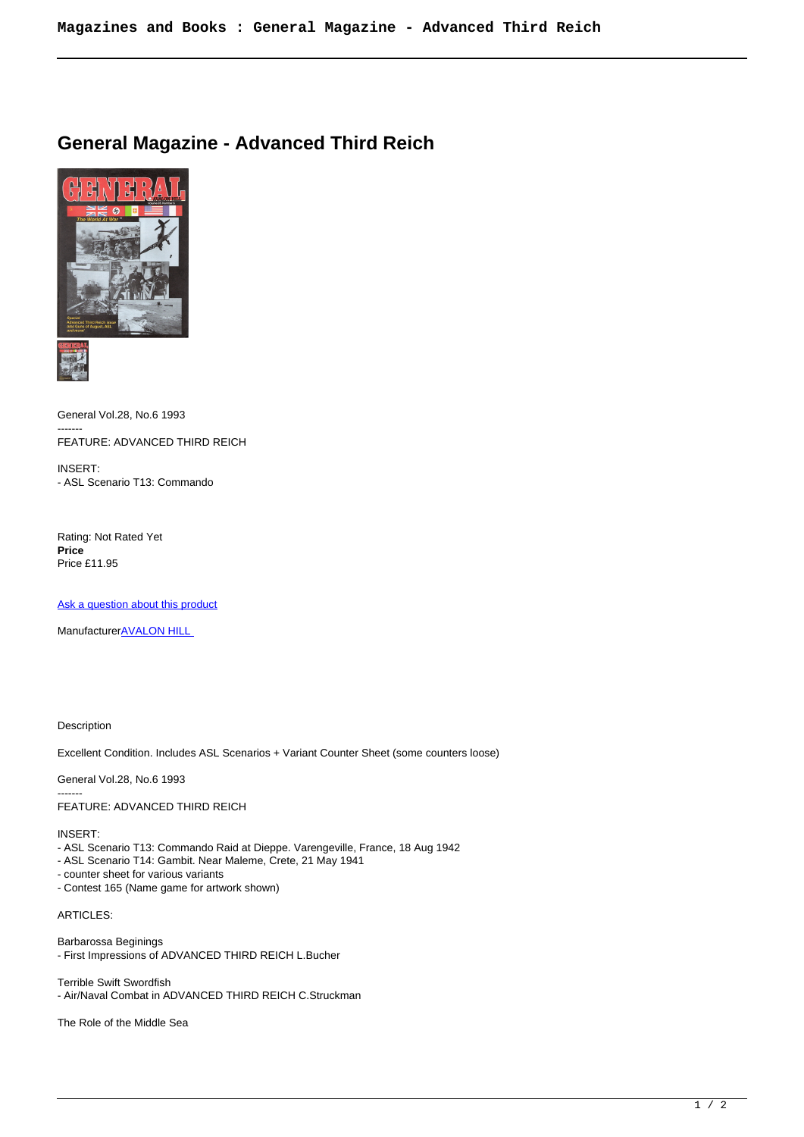## **General Magazine - Advanced Third Reich**





General Vol.28, No.6 1993 ------- FEATURE: ADVANCED THIRD REICH

INSERT: - ASL Scenario T13: Commando

Rating: Not Rated Yet **Price**  Price £11.95

[Ask a question about this product](https://www.secondchancegames.com/index.php?option=com_virtuemart&view=productdetails&task=askquestion&virtuemart_product_id=2893&virtuemart_category_id=25&tmpl=component)

Manufacturer[AVALON HILL](https://www.secondchancegames.com/index.php?option=com_virtuemart&view=manufacturer&virtuemart_manufacturer_id=2505&tmpl=component) 

Description

Excellent Condition. Includes ASL Scenarios + Variant Counter Sheet (some counters loose)

General Vol.28, No.6 1993 ------- FEATURE: ADVANCED THIRD REICH

INSERT:

- ASL Scenario T13: Commando Raid at Dieppe. Varengeville, France, 18 Aug 1942
- ASL Scenario T14: Gambit. Near Maleme, Crete, 21 May 1941
- counter sheet for various variants
- Contest 165 (Name game for artwork shown)

ARTICLES:

Barbarossa Beginings - First Impressions of ADVANCED THIRD REICH L.Bucher

Terrible Swift Swordfish - Air/Naval Combat in ADVANCED THIRD REICH C.Struckman

The Role of the Middle Sea